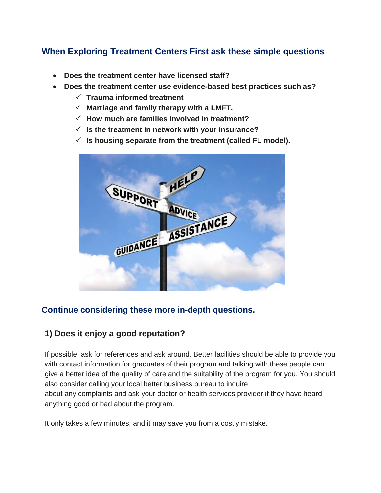# **When Exploring Treatment Centers First ask these simple questions**

- **Does the treatment center have licensed staff?**
- **Does the treatment center use evidence-based best practices such as?**
	- **Trauma informed treatment**
	- $\checkmark$  Marriage and family therapy with a LMFT.
	- **How much are families involved in treatment?**
	- **Is the treatment in network with your insurance?**
	- $\checkmark$  is housing separate from the treatment (called FL model).



#### **Continue considering these more in-depth questions.**

#### **1) Does it enjoy a good reputation?**

If possible, ask for references and ask around. Better facilities should be able to provide you with contact information for graduates of their program and talking with these people can give a better idea of the quality of care and the suitability of the program for you. You should also consider calling your local better business bureau to inquire about any complaints and ask your doctor or health services provider if they have heard anything good or bad about the program.

It only takes a few minutes, and it may save you from a costly mistake.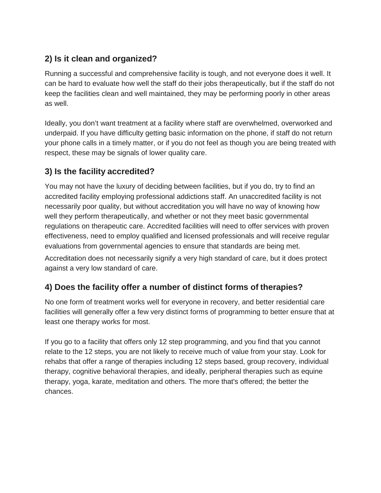# **2) Is it clean and organized?**

Running a successful and comprehensive facility is tough, and not everyone does it well. It can be hard to evaluate how well the staff do their jobs therapeutically, but if the staff do not keep the facilities clean and well maintained, they may be performing poorly in other areas as well.

Ideally, you don't want treatment at a facility where staff are overwhelmed, overworked and underpaid. If you have difficulty getting basic information on the phone, if staff do not return your phone calls in a timely matter, or if you do not feel as though you are being treated with respect, these may be signals of lower quality care.

# **3) Is the facility accredited?**

You may not have the luxury of deciding between facilities, but if you do, try to find an accredited facility employing professional addictions staff. An unaccredited facility is not necessarily poor quality, but without accreditation you will have no way of knowing how well they perform therapeutically, and whether or not they meet basic governmental regulations on therapeutic care. Accredited facilities will need to offer services with proven effectiveness, need to employ qualified and licensed professionals and will receive regular evaluations from governmental agencies to ensure that standards are being met.

Accreditation does not necessarily signify a very high standard of care, but it does protect against a very low standard of care.

### **4) Does the facility offer a number of distinct forms of therapies?**

No one form of treatment works well for everyone in recovery, and better residential care facilities will generally offer a few very distinct forms of programming to better ensure that at least one therapy works for most.

If you go to a facility that offers only 12 step programming, and you find that you cannot relate to the 12 steps, you are not likely to receive much of value from your stay. Look for rehabs that offer a range of therapies including 12 steps based, group recovery, individual therapy, cognitive behavioral therapies, and ideally, peripheral therapies such as equine therapy, yoga, karate, meditation and others. The more that's offered; the better the chances.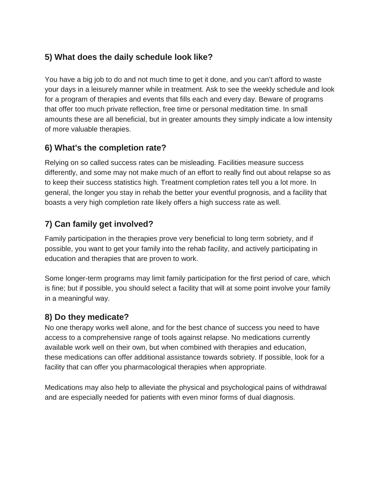### **5) What does the daily schedule look like?**

You have a big job to do and not much time to get it done, and you can't afford to waste your days in a leisurely manner while in treatment. Ask to see the weekly schedule and look for a program of therapies and events that fills each and every day. Beware of programs that offer too much private reflection, free time or personal meditation time. In small amounts these are all beneficial, but in greater amounts they simply indicate a low intensity of more valuable therapies.

### **6) What's the completion rate?**

Relying on so called success rates can be misleading. Facilities measure success differently, and some may not make much of an effort to really find out about relapse so as to keep their success statistics high. Treatment completion rates tell you a lot more. In general, the longer you stay in rehab the better your eventful prognosis, and a facility that boasts a very high completion rate likely offers a high success rate as well.

# **7) Can family get involved?**

Family participation in the therapies prove very beneficial to long term sobriety, and if possible, you want to get your family into the rehab facility, and actively participating in education and therapies that are proven to work.

Some longer-term programs may limit family participation for the first period of care, which is fine; but if possible, you should select a facility that will at some point involve your family in a meaningful way.

### **8) Do they medicate?**

No one therapy works well alone, and for the best chance of success you need to have access to a comprehensive range of tools against relapse. No medications currently available work well on their own, but when combined with therapies and education, these medications can offer additional assistance towards sobriety. If possible, look for a facility that can offer you pharmacological therapies when appropriate.

Medications may also help to alleviate the physical and psychological pains of withdrawal and are especially needed for patients with even minor forms of dual diagnosis.